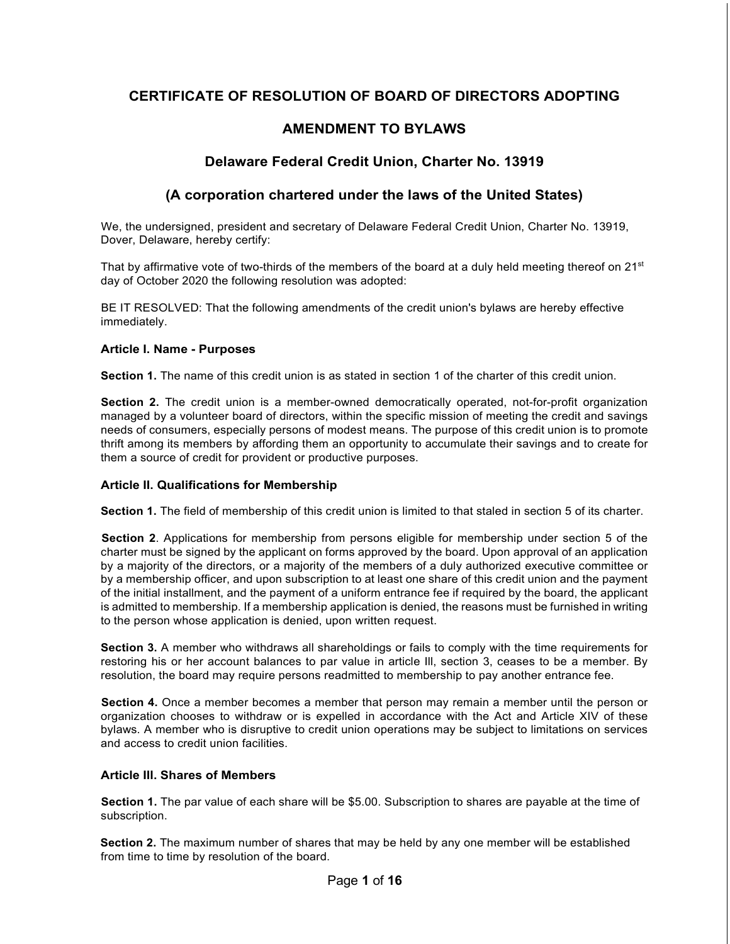# **CERTIFICATE OF RESOLUTION OF BOARD OF DIRECTORS ADOPTING**

# **AMENDMENT TO BYLAWS**

## **Delaware Federal Credit Union, Charter No. 13919**

## **(A corporation chartered under the laws of the United States)**

We, the undersigned, president and secretary of Delaware Federal Credit Union, Charter No. 13919, Dover, Delaware, hereby certify:

That by affirmative vote of two-thirds of the members of the board at a duly held meeting thereof on  $21^{st}$ day of October 2020 the following resolution was adopted:

BE IT RESOLVED: That the following amendments of the credit union's bylaws are hereby effective immediately.

#### **Article I. Name - Purposes**

**Section 1.** The name of this credit union is as stated in section 1 of the charter of this credit union.

**Section 2.** The credit union is a member-owned democratically operated, not-for-profit organization managed by a volunteer board of directors, within the specific mission of meeting the credit and savings needs of consumers, especially persons of modest means. The purpose of this credit union is to promote thrift among its members by affording them an opportunity to accumulate their savings and to create for them a source of credit for provident or productive purposes.

#### **Article II. Qualifications for Membership**

**Section 1.** The field of membership of this credit union is limited to that staled in section 5 of its charter.

**Section 2**. Applications for membership from persons eligible for membership under section 5 of the charter must be signed by the applicant on forms approved by the board. Upon approval of an application by a majority of the directors, or a majority of the members of a duly authorized executive committee or by a membership officer, and upon subscription to at least one share of this credit union and the payment of the initial installment, and the payment of a uniform entrance fee if required by the board, the applicant is admitted to membership. If a membership application is denied, the reasons must be furnished in writing to the person whose application is denied, upon written request.

**Section 3.** A member who withdraws all shareholdings or fails to comply with the time requirements for restoring his or her account balances to par value in article Ill, section 3, ceases to be a member. By resolution, the board may require persons readmitted to membership to pay another entrance fee.

**Section 4.** Once a member becomes a member that person may remain a member until the person or organization chooses to withdraw or is expelled in accordance with the Act and Article XIV of these bylaws. A member who is disruptive to credit union operations may be subject to limitations on services and access to credit union facilities.

#### **Article Ill. Shares of Members**

**Section 1.** The par value of each share will be \$5.00. Subscription to shares are payable at the time of subscription.

**Section 2.** The maximum number of shares that may be held by any one member will be established from time to time by resolution of the board.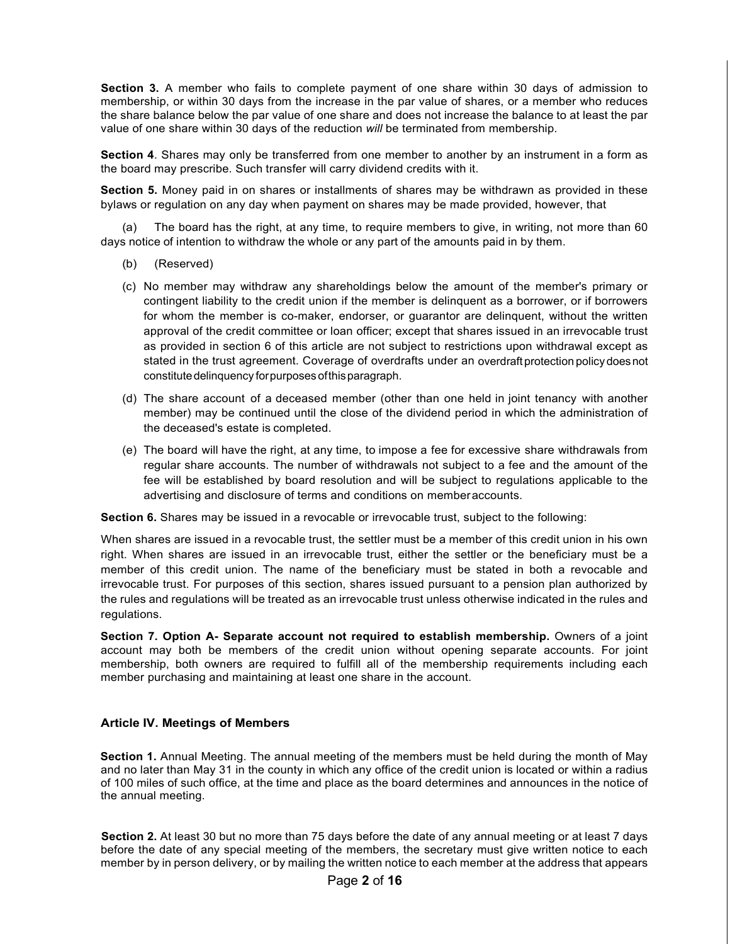**Section 3.** A member who fails to complete payment of one share within 30 days of admission to membership, or within 30 days from the increase in the par value of shares, or a member who reduces the share balance below the par value of one share and does not increase the balance to at least the par value of one share within 30 days of the reduction *will* be terminated from membership.

**Section 4**. Shares may only be transferred from one member to another by an instrument in a form as the board may prescribe. Such transfer will carry dividend credits with it.

**Section 5.** Money paid in on shares or installments of shares may be withdrawn as provided in these bylaws or regulation on any day when payment on shares may be made provided, however, that

(a) The board has the right, at any time, to require members to give, in writing, not more than 60 days notice of intention to withdraw the whole or any part of the amounts paid in by them.

- (b) (Reserved)
- (c) No member may withdraw any shareholdings below the amount of the member's primary or contingent liability to the credit union if the member is delinquent as a borrower, or if borrowers for whom the member is co-maker, endorser, or guarantor are delinquent, without the written approval of the credit committee or loan officer; except that shares issued in an irrevocable trust as provided in section 6 of this article are not subject to restrictions upon withdrawal except as stated in the trust agreement. Coverage of overdrafts under an overdraft protection policy doesnot constitutedelinquency forpurposesofthisparagraph.
- (d) The share account of a deceased member (other than one held in joint tenancy with another member) may be continued until the close of the dividend period in which the administration of the deceased's estate is completed.
- (e) The board will have the right, at any time, to impose a fee for excessive share withdrawals from regular share accounts. The number of withdrawals not subject to a fee and the amount of the fee will be established by board resolution and will be subject to regulations applicable to the advertising and disclosure of terms and conditions on memberaccounts.

**Section 6.** Shares may be issued in a revocable or irrevocable trust, subject to the following:

When shares are issued in a revocable trust, the settler must be a member of this credit union in his own right. When shares are issued in an irrevocable trust, either the settler or the beneficiary must be a member of this credit union. The name of the beneficiary must be stated in both a revocable and irrevocable trust. For purposes of this section, shares issued pursuant to a pension plan authorized by the rules and regulations will be treated as an irrevocable trust unless otherwise indicated in the rules and regulations.

**Section 7. Option A- Separate account not required to establish membership.** Owners of a joint account may both be members of the credit union without opening separate accounts. For joint membership, both owners are required to fulfill all of the membership requirements including each member purchasing and maintaining at least one share in the account.

#### **Article IV. Meetings of Members**

**Section 1.** Annual Meeting. The annual meeting of the members must be held during the month of May and no later than May 31 in the county in which any office of the credit union is located or within a radius of 100 miles of such office, at the time and place as the board determines and announces in the notice of the annual meeting.

**Section 2.** At least 30 but no more than 75 days before the date of any annual meeting or at least 7 days before the date of any special meeting of the members, the secretary must give written notice to each member by in person delivery, or by mailing the written notice to each member at the address that appears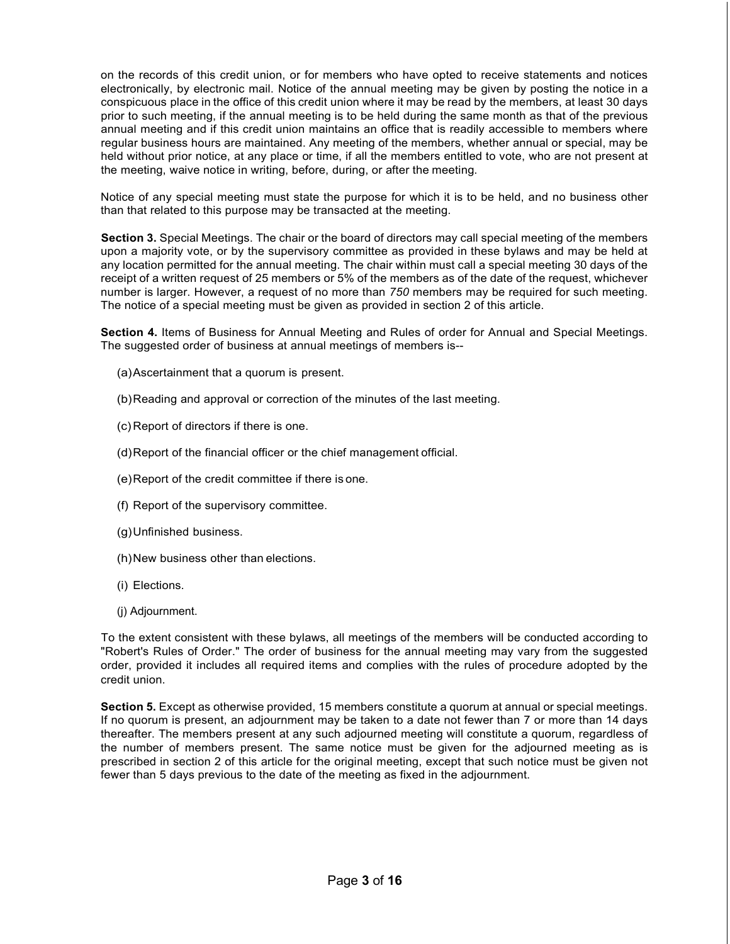on the records of this credit union, or for members who have opted to receive statements and notices electronically, by electronic mail. Notice of the annual meeting may be given by posting the notice in a conspicuous place in the office of this credit union where it may be read by the members, at least 30 days prior to such meeting, if the annual meeting is to be held during the same month as that of the previous annual meeting and if this credit union maintains an office that is readily accessible to members where regular business hours are maintained. Any meeting of the members, whether annual or special, may be held without prior notice, at any place or time, if all the members entitled to vote, who are not present at the meeting, waive notice in writing, before, during, or after the meeting.

Notice of any special meeting must state the purpose for which it is to be held, and no business other than that related to this purpose may be transacted at the meeting.

**Section 3.** Special Meetings. The chair or the board of directors may call special meeting of the members upon a majority vote, or by the supervisory committee as provided in these bylaws and may be held at any location permitted for the annual meeting. The chair within must call a special meeting 30 days of the receipt of a written request of 25 members or 5% of the members as of the date of the request, whichever number is larger. However, a request of no more than *750* members may be required for such meeting. The notice of a special meeting must be given as provided in section 2 of this article.

**Section 4.** Items of Business for Annual Meeting and Rules of order for Annual and Special Meetings. The suggested order of business at annual meetings of members is--

- (a)Ascertainment that a quorum is present.
- (b)Reading and approval or correction of the minutes of the last meeting.
- (c) Report of directors if there is one.
- (d)Report of the financial officer or the chief management official.
- (e)Report of the credit committee if there is one.
- (f) Report of the supervisory committee.
- (g)Unfinished business.
- (h)New business other than elections.
- (i) Elections.
- (j) Adjournment.

To the extent consistent with these bylaws, all meetings of the members will be conducted according to "Robert's Rules of Order." The order of business for the annual meeting may vary from the suggested order, provided it includes all required items and complies with the rules of procedure adopted by the credit union.

**Section 5.** Except as otherwise provided, 15 members constitute a quorum at annual or special meetings. If no quorum is present, an adjournment may be taken to a date not fewer than 7 or more than 14 days thereafter. The members present at any such adjourned meeting will constitute a quorum, regardless of the number of members present. The same notice must be given for the adjourned meeting as is prescribed in section 2 of this article for the original meeting, except that such notice must be given not fewer than 5 days previous to the date of the meeting as fixed in the adjournment.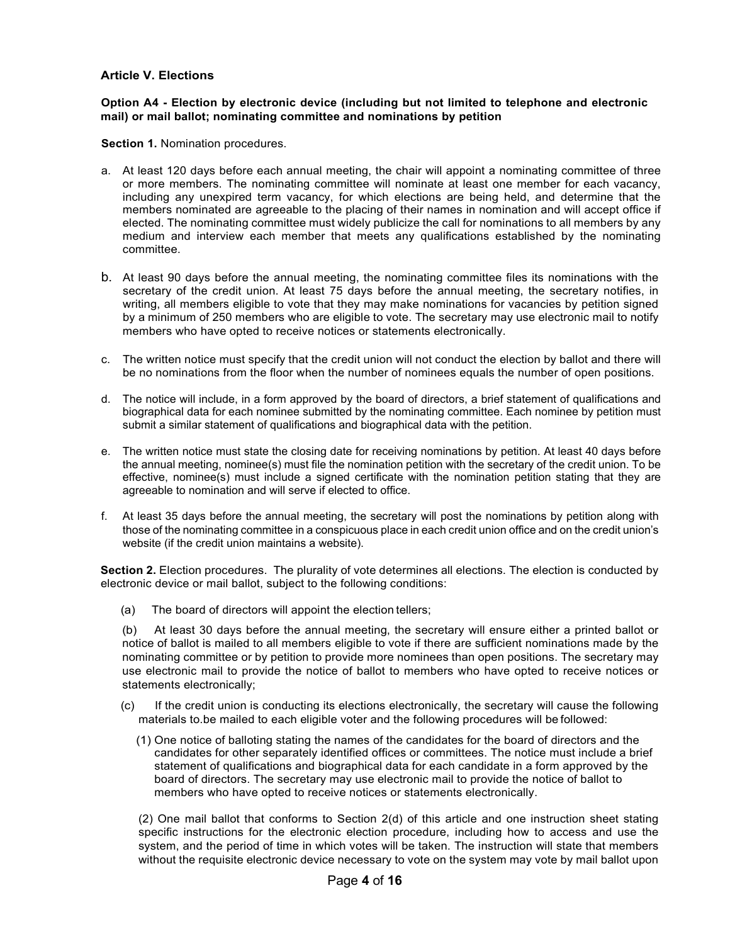### **Article V. Elections**

#### **Option A4 - Election by electronic device (including but not limited to telephone and electronic mail) or mail ballot; nominating committee and nominations by petition**

**Section 1.** Nomination procedures.

- a. At least 120 days before each annual meeting, the chair will appoint a nominating committee of three or more members. The nominating committee will nominate at least one member for each vacancy, including any unexpired term vacancy, for which elections are being held, and determine that the members nominated are agreeable to the placing of their names in nomination and will accept office if elected. The nominating committee must widely publicize the call for nominations to all members by any medium and interview each member that meets any qualifications established by the nominating committee.
- b. At least 90 days before the annual meeting, the nominating committee files its nominations with the secretary of the credit union. At least 75 days before the annual meeting, the secretary notifies, in writing, all members eligible to vote that they may make nominations for vacancies by petition signed by a minimum of 250 members who are eligible to vote. The secretary may use electronic mail to notify members who have opted to receive notices or statements electronically.
- c. The written notice must specify that the credit union will not conduct the election by ballot and there will be no nominations from the floor when the number of nominees equals the number of open positions.
- d. The notice will include, in a form approved by the board of directors, a brief statement of qualifications and biographical data for each nominee submitted by the nominating committee. Each nominee by petition must submit a similar statement of qualifications and biographical data with the petition.
- e. The written notice must state the closing date for receiving nominations by petition. At least 40 days before the annual meeting, nominee(s) must file the nomination petition with the secretary of the credit union. To be effective, nominee(s) must include a signed certificate with the nomination petition stating that they are agreeable to nomination and will serve if elected to office.
- f. At least 35 days before the annual meeting, the secretary will post the nominations by petition along with those of the nominating committee in a conspicuous place in each credit union office and on the credit union's website (if the credit union maintains a website).

**Section 2.** Election procedures. The plurality of vote determines all elections. The election is conducted by electronic device or mail ballot, subject to the following conditions:

(a) The board of directors will appoint the election tellers;

(b) At least 30 days before the annual meeting, the secretary will ensure either a printed ballot or notice of ballot is mailed to all members eligible to vote if there are sufficient nominations made by the nominating committee or by petition to provide more nominees than open positions. The secretary may use electronic mail to provide the notice of ballot to members who have opted to receive notices or statements electronically;

- (c) If the credit union is conducting its elections electronically, the secretary will cause the following materials to.be mailed to each eligible voter and the following procedures will be followed:
	- (1) One notice of balloting stating the names of the candidates for the board of directors and the candidates for other separately identified offices or committees. The notice must include a brief statement of qualifications and biographical data for each candidate in a form approved by the board of directors. The secretary may use electronic mail to provide the notice of ballot to members who have opted to receive notices or statements electronically.

(2) One mail ballot that conforms to Section 2(d) of this article and one instruction sheet stating specific instructions for the electronic election procedure, including how to access and use the system, and the period of time in which votes will be taken. The instruction will state that members without the requisite electronic device necessary to vote on the system may vote by mail ballot upon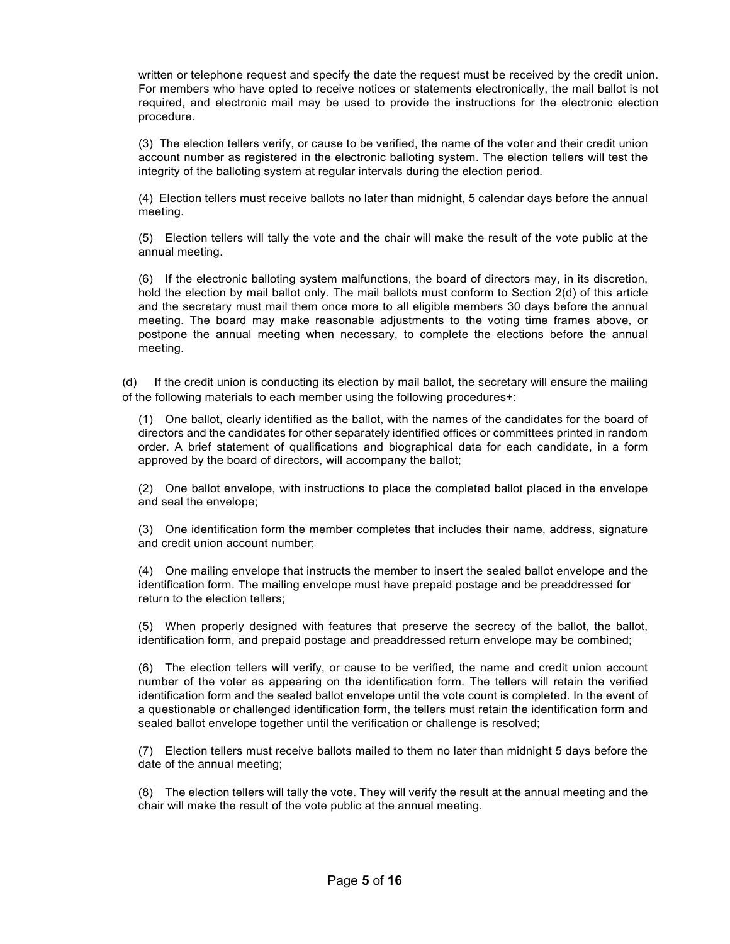written or telephone request and specify the date the request must be received by the credit union. For members who have opted to receive notices or statements electronically, the mail ballot is not required, and electronic mail may be used to provide the instructions for the electronic election procedure.

(3) The election tellers verify, or cause to be verified, the name of the voter and their credit union account number as registered in the electronic balloting system. The election tellers will test the integrity of the balloting system at regular intervals during the election period.

(4) Election tellers must receive ballots no later than midnight, 5 calendar days before the annual meeting.

(5) Election tellers will tally the vote and the chair will make the result of the vote public at the annual meeting.

(6) If the electronic balloting system malfunctions, the board of directors may, in its discretion, hold the election by mail ballot only. The mail ballots must conform to Section 2(d) of this article and the secretary must mail them once more to all eligible members 30 days before the annual meeting. The board may make reasonable adjustments to the voting time frames above, or postpone the annual meeting when necessary, to complete the elections before the annual meeting.

(d) If the credit union is conducting its election by mail ballot, the secretary will ensure the mailing of the following materials to each member using the following procedures+:

(1) One ballot, clearly identified as the ballot, with the names of the candidates for the board of directors and the candidates for other separately identified offices or committees printed in random order. A brief statement of qualifications and biographical data for each candidate, in a form approved by the board of directors, will accompany the ballot;

(2) One ballot envelope, with instructions to place the completed ballot placed in the envelope and seal the envelope;

(3) One identification form the member completes that includes their name, address, signature and credit union account number;

(4) One mailing envelope that instructs the member to insert the sealed ballot envelope and the identification form. The mailing envelope must have prepaid postage and be preaddressed for return to the election tellers;

(5) When properly designed with features that preserve the secrecy of the ballot, the ballot, identification form, and prepaid postage and preaddressed return envelope may be combined;

(6) The election tellers will verify, or cause to be verified, the name and credit union account number of the voter as appearing on the identification form. The tellers will retain the verified identification form and the sealed ballot envelope until the vote count is completed. In the event of a questionable or challenged identification form, the tellers must retain the identification form and sealed ballot envelope together until the verification or challenge is resolved;

(7) Election tellers must receive ballots mailed to them no later than midnight 5 days before the date of the annual meeting;

(8) The election tellers will tally the vote. They will verify the result at the annual meeting and the chair will make the result of the vote public at the annual meeting.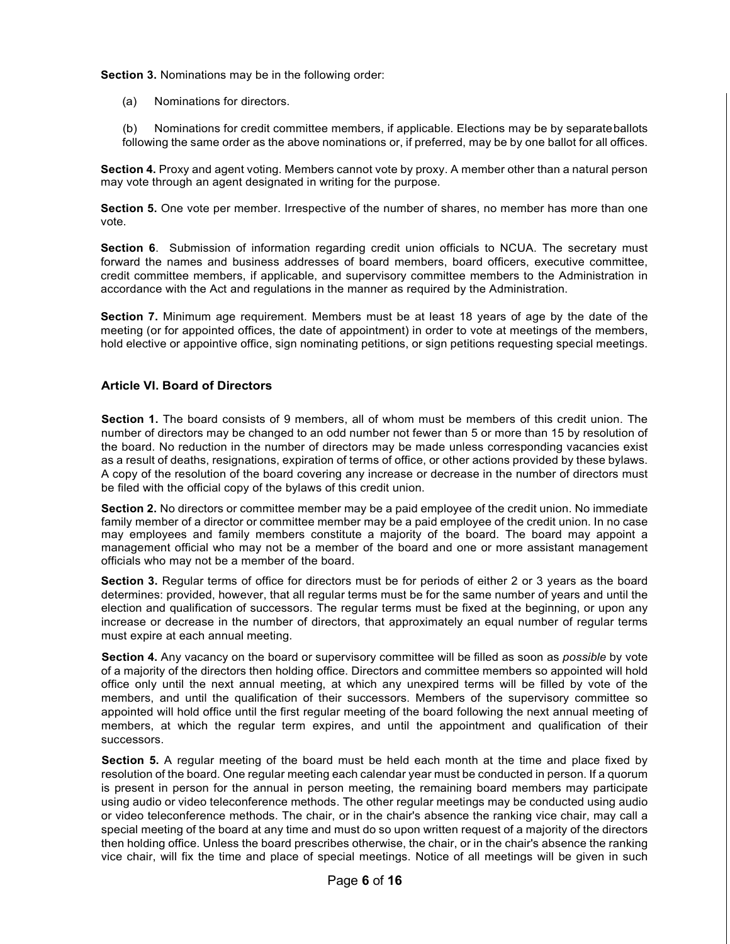**Section 3.** Nominations may be in the following order:

(a) Nominations for directors.

(b) Nominations for credit committee members, if applicable. Elections may be by separateballots following the same order as the above nominations or, if preferred, may be by one ballot for all offices.

**Section 4.** Proxy and agent voting. Members cannot vote by proxy. A member other than a natural person may vote through an agent designated in writing for the purpose.

**Section 5.** One vote per member. Irrespective of the number of shares, no member has more than one vote.

**Section 6.** Submission of information regarding credit union officials to NCUA. The secretary must forward the names and business addresses of board members, board officers, executive committee, credit committee members, if applicable, and supervisory committee members to the Administration in accordance with the Act and regulations in the manner as required by the Administration.

**Section 7.** Minimum age requirement. Members must be at least 18 years of age by the date of the meeting (or for appointed offices, the date of appointment) in order to vote at meetings of the members, hold elective or appointive office, sign nominating petitions, or sign petitions requesting special meetings.

## **Article VI. Board of Directors**

**Section 1.** The board consists of 9 members, all of whom must be members of this credit union. The number of directors may be changed to an odd number not fewer than 5 or more than 15 by resolution of the board. No reduction in the number of directors may be made unless corresponding vacancies exist as a result of deaths, resignations, expiration of terms of office, or other actions provided by these bylaws. A copy of the resolution of the board covering any increase or decrease in the number of directors must be filed with the official copy of the bylaws of this credit union.

**Section 2.** No directors or committee member may be a paid employee of the credit union. No immediate family member of a director or committee member may be a paid employee of the credit union. In no case may employees and family members constitute a majority of the board. The board may appoint a management official who may not be a member of the board and one or more assistant management officials who may not be a member of the board.

**Section 3.** Regular terms of office for directors must be for periods of either 2 or 3 years as the board determines: provided, however, that all regular terms must be for the same number of years and until the election and qualification of successors. The regular terms must be fixed at the beginning, or upon any increase or decrease in the number of directors, that approximately an equal number of regular terms must expire at each annual meeting.

**Section 4.** Any vacancy on the board or supervisory committee will be filled as soon as *possible* by vote of a majority of the directors then holding office. Directors and committee members so appointed will hold office only until the next annual meeting, at which any unexpired terms will be filled by vote of the members, and until the qualification of their successors. Members of the supervisory committee so appointed will hold office until the first regular meeting of the board following the next annual meeting of members, at which the regular term expires, and until the appointment and qualification of their successors.

**Section 5.** A regular meeting of the board must be held each month at the time and place fixed by resolution of the board. One regular meeting each calendar year must be conducted in person. If a quorum is present in person for the annual in person meeting, the remaining board members may participate using audio or video teleconference methods. The other regular meetings may be conducted using audio or video teleconference methods. The chair, or in the chair's absence the ranking vice chair, may call a special meeting of the board at any time and must do so upon written request of a majority of the directors then holding office. Unless the board prescribes otherwise, the chair, or in the chair's absence the ranking vice chair, will fix the time and place of special meetings. Notice of all meetings will be given in such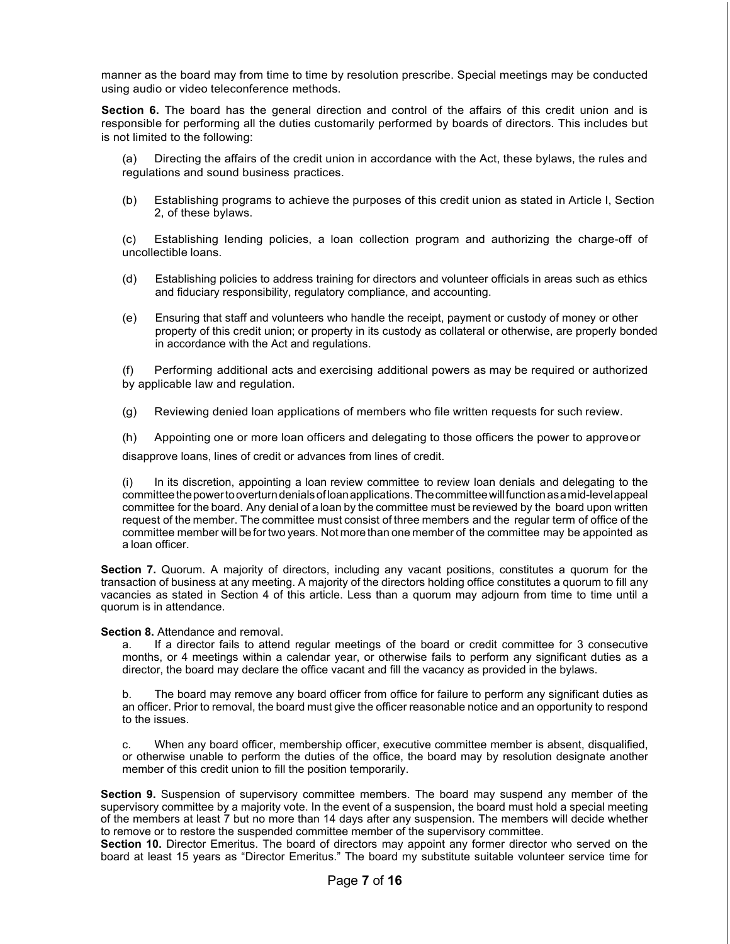manner as the board may from time to time by resolution prescribe. Special meetings may be conducted using audio or video teleconference methods.

**Section 6.** The board has the general direction and control of the affairs of this credit union and is responsible for performing all the duties customarily performed by boards of directors. This includes but is not limited to the following:

(a) Directing the affairs of the credit union in accordance with the Act, these bylaws, the rules and regulations and sound business practices.

(b) Establishing programs to achieve the purposes of this credit union as stated in Article I, Section 2, of these bylaws.

(c) Establishing lending policies, a loan collection program and authorizing the charge-off of uncollectible loans.

- (d) Establishing policies to address training for directors and volunteer officials in areas such as ethics and fiduciary responsibility, regulatory compliance, and accounting.
- (e) Ensuring that staff and volunteers who handle the receipt, payment or custody of money or other property of this credit union; or property in its custody as collateral or otherwise, are properly bonded in accordance with the Act and regulations.

(f) Performing additional acts and exercising additional powers as may be required or authorized by applicable law and regulation.

(g) Reviewing denied loan applications of members who file written requests for such review.

(h) Appointing one or more loan officers and delegating to those officers the power to approveor

disapprove loans, lines of credit or advances from lines of credit.

(i) In its discretion, appointing a loan review committee to review loan denials and delegating to the committee thepowertooverturndenialsofloanapplications.Thecommitteewillfunctionasamid-levelappeal committee for the board. Any denial of a loan by the committee must be reviewed by the board upon written request of the member. The committee must consist of three members and the regular term of office of the committee member will be fortwo years. Not more than one member of the committee may be appointed as a loan officer.

**Section 7.** Quorum. A majority of directors, including any vacant positions, constitutes a quorum for the transaction of business at any meeting. A majority of the directors holding office constitutes a quorum to fill any vacancies as stated in Section 4 of this article. Less than a quorum may adjourn from time to time until a quorum is in attendance.

**Section 8.** Attendance and removal.

a. If a director fails to attend regular meetings of the board or credit committee for 3 consecutive months, or 4 meetings within a calendar year, or otherwise fails to perform any significant duties as a director, the board may declare the office vacant and fill the vacancy as provided in the bylaws.

b. The board may remove any board officer from office for failure to perform any significant duties as an officer. Prior to removal, the board must give the officer reasonable notice and an opportunity to respond to the issues.

c. When any board officer, membership officer, executive committee member is absent, disqualified, or otherwise unable to perform the duties of the office, the board may by resolution designate another member of this credit union to fill the position temporarily.

**Section 9.** Suspension of supervisory committee members. The board may suspend any member of the supervisory committee by a majority vote. In the event of a suspension, the board must hold a special meeting of the members at least 7 but no more than 14 days after any suspension. The members will decide whether to remove or to restore the suspended committee member of the supervisory committee.

**Section 10.** Director Emeritus. The board of directors may appoint any former director who served on the board at least 15 years as "Director Emeritus." The board my substitute suitable volunteer service time for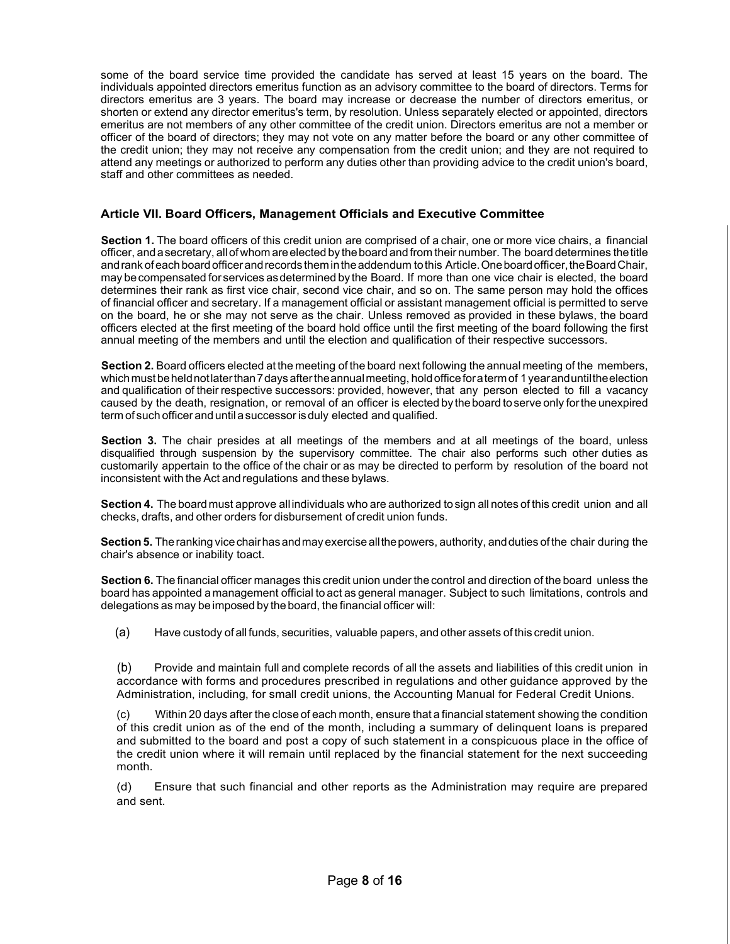some of the board service time provided the candidate has served at least 15 years on the board. The individuals appointed directors emeritus function as an advisory committee to the board of directors. Terms for directors emeritus are 3 years. The board may increase or decrease the number of directors emeritus, or shorten or extend any director emeritus's term, by resolution. Unless separately elected or appointed, directors emeritus are not members of any other committee of the credit union. Directors emeritus are not a member or officer of the board of directors; they may not vote on any matter before the board or any other committee of the credit union; they may not receive any compensation from the credit union; and they are not required to attend any meetings or authorized to perform any duties other than providing advice to the credit union's board, staff and other committees as needed.

#### **Article VII. Board Officers, Management Officials and Executive Committee**

**Section 1.** The board officers of this credit union are comprised of a chair, one or more vice chairs, a financial officer, andasecretary, allofwhom areelected by theboard and from their number. The board determines thetitle and rank of each board officer and records them in the addendum to this Article. One board officer, the Board Chair, may becompensated forservices asdetermined by the Board. If more than one vice chair is elected, the board determines their rank as first vice chair, second vice chair, and so on. The same person may hold the offices of financial officer and secretary. If a management official or assistant management official is permitted to serve on the board, he or she may not serve as the chair. Unless removed as provided in these bylaws, the board officers elected at the first meeting of the board hold office until the first meeting of the board following the first annual meeting of the members and until the election and qualification of their respective successors.

**Section 2.** Board officers elected at the meeting of the board next following the annual meeting of the members, which must be held not later than 7 days after the annual meeting, hold office for a term of 1 year and until the election and qualification of their respective successors: provided, however, that any person elected to fill a vacancy caused by the death, resignation, or removal of an officer is elected by theboard toserve only forthe unexpired term of such officer and until asuccessor isduly elected and qualified.

**Section 3.** The chair presides at all meetings of the members and at all meetings of the board, unless disqualified through suspension by the supervisory committee. The chair also performs such other duties as customarily appertain to the office of the chair or as may be directed to perform by resolution of the board not inconsistent with the Act and regulations and these bylaws.

**Section 4.** The board must approve all individuals who are authorized to sign all notes of this credit union and all checks, drafts, and other orders for disbursement of credit union funds.

**Section5.** Theranking vicechairhasandmay exercise allthepowers, authority, andduties of the chair during the chair's absence or inability toact.

**Section 6.** The financial officer manages this credit union under the control and direction of the board unless the board has appointed a management official to act as general manager. Subject to such limitations, controls and delegations as may be imposed by the board, the financial officer will:

(a) Have custody of all funds, securities, valuable papers, and other assets of this credit union.

(b) Provide and maintain full and complete records of all the assets and liabilities of this credit union in accordance with forms and procedures prescribed in regulations and other guidance approved by the Administration, including, for small credit unions, the Accounting Manual for Federal Credit Unions.

(c) Within 20 days after the close of each month, ensure that a financial statement showing the condition of this credit union as of the end of the month, including a summary of delinquent loans is prepared and submitted to the board and post a copy of such statement in a conspicuous place in the office of the credit union where it will remain until replaced by the financial statement for the next succeeding month.

(d) Ensure that such financial and other reports as the Administration may require are prepared and sent.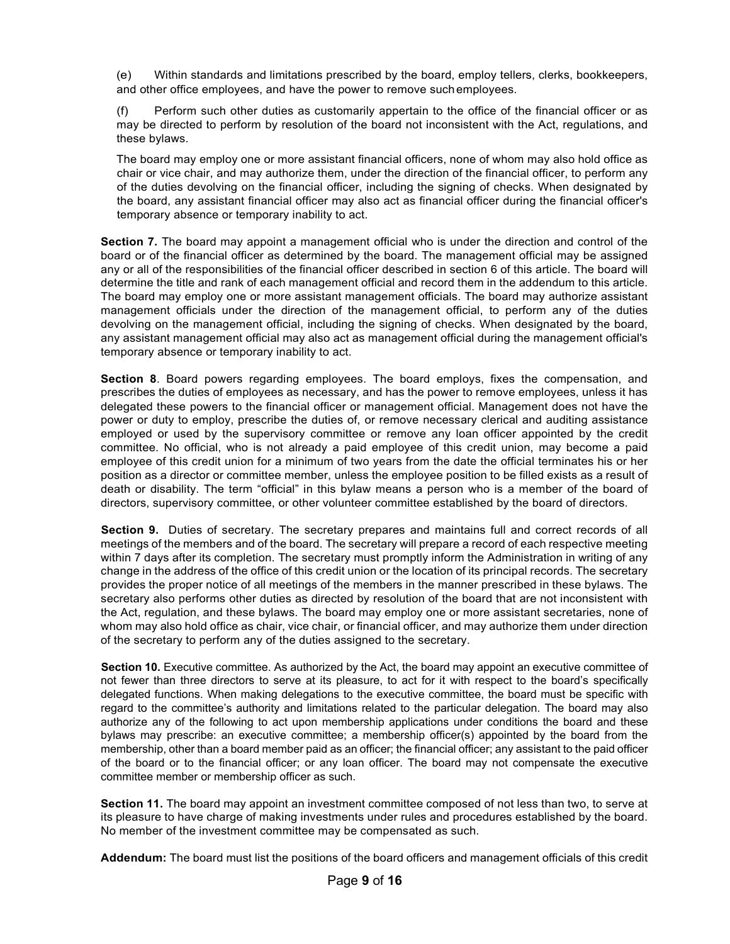(e) Within standards and limitations prescribed by the board, employ tellers, clerks, bookkeepers, and other office employees, and have the power to remove suchemployees.

(f) Perform such other duties as customarily appertain to the office of the financial officer or as may be directed to perform by resolution of the board not inconsistent with the Act, regulations, and these bylaws.

The board may employ one or more assistant financial officers, none of whom may also hold office as chair or vice chair, and may authorize them, under the direction of the financial officer, to perform any of the duties devolving on the financial officer, including the signing of checks. When designated by the board, any assistant financial officer may also act as financial officer during the financial officer's temporary absence or temporary inability to act.

**Section 7.** The board may appoint a management official who is under the direction and control of the board or of the financial officer as determined by the board. The management official may be assigned any or all of the responsibilities of the financial officer described in section 6 of this article. The board will determine the title and rank of each management official and record them in the addendum to this article. The board may employ one or more assistant management officials. The board may authorize assistant management officials under the direction of the management official, to perform any of the duties devolving on the management official, including the signing of checks. When designated by the board, any assistant management official may also act as management official during the management official's temporary absence or temporary inability to act.

**Section 8**. Board powers regarding employees. The board employs, fixes the compensation, and prescribes the duties of employees as necessary, and has the power to remove employees, unless it has delegated these powers to the financial officer or management official. Management does not have the power or duty to employ, prescribe the duties of, or remove necessary clerical and auditing assistance employed or used by the supervisory committee or remove any loan officer appointed by the credit committee. No official, who is not already a paid employee of this credit union, may become a paid employee of this credit union for a minimum of two years from the date the official terminates his or her position as a director or committee member, unless the employee position to be filled exists as a result of death or disability. The term "official" in this bylaw means a person who is a member of the board of directors, supervisory committee, or other volunteer committee established by the board of directors.

**Section 9.** Duties of secretary. The secretary prepares and maintains full and correct records of all meetings of the members and of the board. The secretary will prepare a record of each respective meeting within 7 days after its completion. The secretary must promptly inform the Administration in writing of any change in the address of the office of this credit union or the location of its principal records. The secretary provides the proper notice of all meetings of the members in the manner prescribed in these bylaws. The secretary also performs other duties as directed by resolution of the board that are not inconsistent with the Act, regulation, and these bylaws. The board may employ one or more assistant secretaries, none of whom may also hold office as chair, vice chair, or financial officer, and may authorize them under direction of the secretary to perform any of the duties assigned to the secretary.

**Section 10.** Executive committee. As authorized by the Act, the board may appoint an executive committee of not fewer than three directors to serve at its pleasure, to act for it with respect to the board's specifically delegated functions. When making delegations to the executive committee, the board must be specific with regard to the committee's authority and limitations related to the particular delegation. The board may also authorize any of the following to act upon membership applications under conditions the board and these bylaws may prescribe: an executive committee; a membership officer(s) appointed by the board from the membership, other than a board member paid as an officer; the financial officer; any assistant to the paid officer of the board or to the financial officer; or any loan officer. The board may not compensate the executive committee member or membership officer as such.

**Section 11.** The board may appoint an investment committee composed of not less than two, to serve at its pleasure to have charge of making investments under rules and procedures established by the board. No member of the investment committee may be compensated as such.

**Addendum:** The board must list the positions of the board officers and management officials of this credit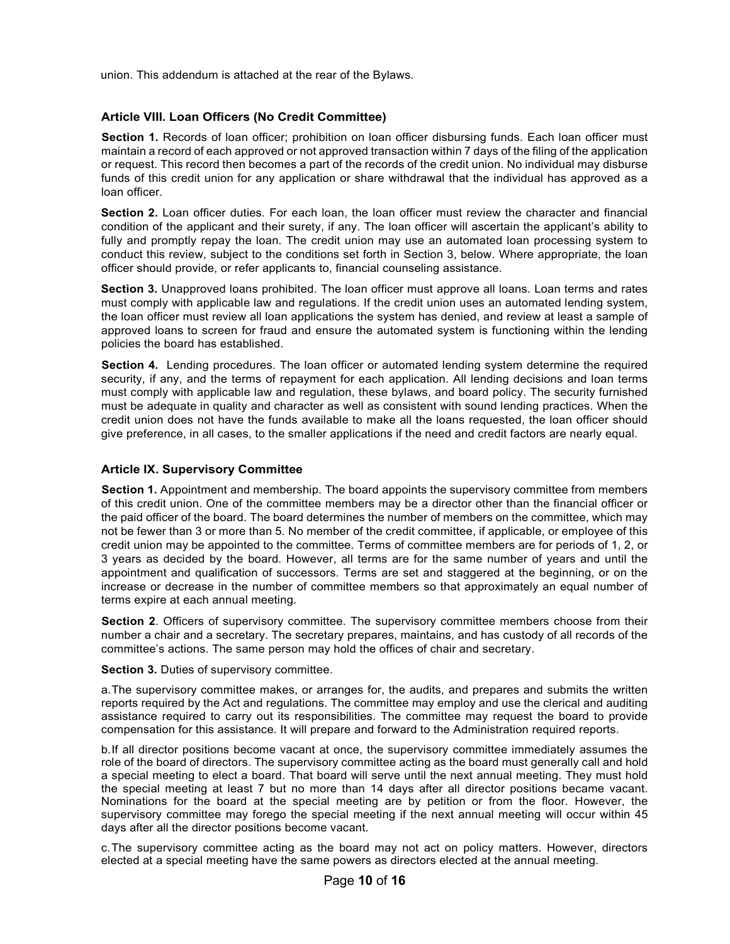union. This addendum is attached at the rear of the Bylaws.

#### **Article VIII. Loan Officers (No Credit Committee)**

**Section 1.** Records of loan officer; prohibition on loan officer disbursing funds. Each loan officer must maintain a record of each approved or not approved transaction within 7 days of the filing of the application or request. This record then becomes a part of the records of the credit union. No individual may disburse funds of this credit union for any application or share withdrawal that the individual has approved as a loan officer.

**Section 2.** Loan officer duties. For each loan, the loan officer must review the character and financial condition of the applicant and their surety, if any. The loan officer will ascertain the applicant's ability to fully and promptly repay the loan. The credit union may use an automated loan processing system to conduct this review, subject to the conditions set forth in Section 3, below. Where appropriate, the loan officer should provide, or refer applicants to, financial counseling assistance.

**Section 3.** Unapproved loans prohibited. The loan officer must approve all loans. Loan terms and rates must comply with applicable law and regulations. If the credit union uses an automated lending system, the loan officer must review all loan applications the system has denied, and review at least a sample of approved loans to screen for fraud and ensure the automated system is functioning within the lending policies the board has established.

**Section 4.** Lending procedures. The loan officer or automated lending system determine the required security, if any, and the terms of repayment for each application. All lending decisions and loan terms must comply with applicable law and regulation, these bylaws, and board policy. The security furnished must be adequate in quality and character as well as consistent with sound lending practices. When the credit union does not have the funds available to make all the loans requested, the loan officer should give preference, in all cases, to the smaller applications if the need and credit factors are nearly equal.

#### **Article IX. Supervisory Committee**

**Section 1.** Appointment and membership. The board appoints the supervisory committee from members of this credit union. One of the committee members may be a director other than the financial officer or the paid officer of the board. The board determines the number of members on the committee, which may not be fewer than 3 or more than 5. No member of the credit committee, if applicable, or employee of this credit union may be appointed to the committee. Terms of committee members are for periods of 1, 2, or 3 years as decided by the board. However, all terms are for the same number of years and until the appointment and qualification of successors. Terms are set and staggered at the beginning, or on the increase or decrease in the number of committee members so that approximately an equal number of terms expire at each annual meeting.

**Section 2**. Officers of supervisory committee. The supervisory committee members choose from their number a chair and a secretary. The secretary prepares, maintains, and has custody of all records of the committee's actions. The same person may hold the offices of chair and secretary.

**Section 3.** Duties of supervisory committee.

a.The supervisory committee makes, or arranges for, the audits, and prepares and submits the written reports required by the Act and regulations. The committee may employ and use the clerical and auditing assistance required to carry out its responsibilities. The committee may request the board to provide compensation for this assistance. It will prepare and forward to the Administration required reports.

b.If all director positions become vacant at once, the supervisory committee immediately assumes the role of the board of directors. The supervisory committee acting as the board must generally call and hold a special meeting to elect a board. That board will serve until the next annual meeting. They must hold the special meeting at least 7 but no more than 14 days after all director positions became vacant. Nominations for the board at the special meeting are by petition or from the floor. However, the supervisory committee may forego the special meeting if the next annual meeting will occur within 45 days after all the director positions become vacant.

c.The supervisory committee acting as the board may not act on policy matters. However, directors elected at a special meeting have the same powers as directors elected at the annual meeting.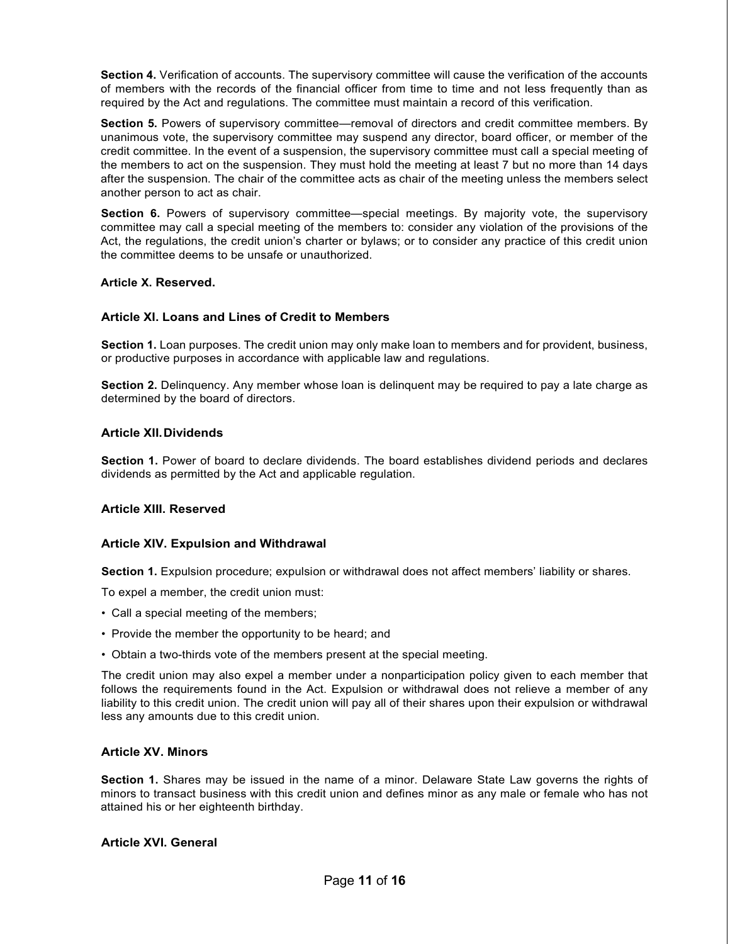**Section 4.** Verification of accounts. The supervisory committee will cause the verification of the accounts of members with the records of the financial officer from time to time and not less frequently than as required by the Act and regulations. The committee must maintain a record of this verification.

**Section 5.** Powers of supervisory committee—removal of directors and credit committee members. By unanimous vote, the supervisory committee may suspend any director, board officer, or member of the credit committee. In the event of a suspension, the supervisory committee must call a special meeting of the members to act on the suspension. They must hold the meeting at least 7 but no more than 14 days after the suspension. The chair of the committee acts as chair of the meeting unless the members select another person to act as chair.

**Section 6.** Powers of supervisory committee—special meetings. By majority vote, the supervisory committee may call a special meeting of the members to: consider any violation of the provisions of the Act, the regulations, the credit union's charter or bylaws; or to consider any practice of this credit union the committee deems to be unsafe or unauthorized.

#### **Article X. Reserved.**

#### **Article XI. Loans and Lines of Credit to Members**

**Section 1.** Loan purposes. The credit union may only make loan to members and for provident, business, or productive purposes in accordance with applicable law and regulations.

**Section 2.** Delinquency. Any member whose loan is delinquent may be required to pay a late charge as determined by the board of directors.

#### **Article XII.Dividends**

**Section 1.** Power of board to declare dividends. The board establishes dividend periods and declares dividends as permitted by the Act and applicable regulation.

#### **Article XIII. Reserved**

#### **Article XIV. Expulsion and Withdrawal**

**Section 1.** Expulsion procedure; expulsion or withdrawal does not affect members' liability or shares.

To expel a member, the credit union must:

- Call a special meeting of the members;
- Provide the member the opportunity to be heard; and
- Obtain a two-thirds vote of the members present at the special meeting.

The credit union may also expel a member under a nonparticipation policy given to each member that follows the requirements found in the Act. Expulsion or withdrawal does not relieve a member of any liability to this credit union. The credit union will pay all of their shares upon their expulsion or withdrawal less any amounts due to this credit union.

#### **Article XV. Minors**

**Section 1.** Shares may be issued in the name of a minor. Delaware State Law governs the rights of minors to transact business with this credit union and defines minor as any male or female who has not attained his or her eighteenth birthday.

#### **Article XVI. General**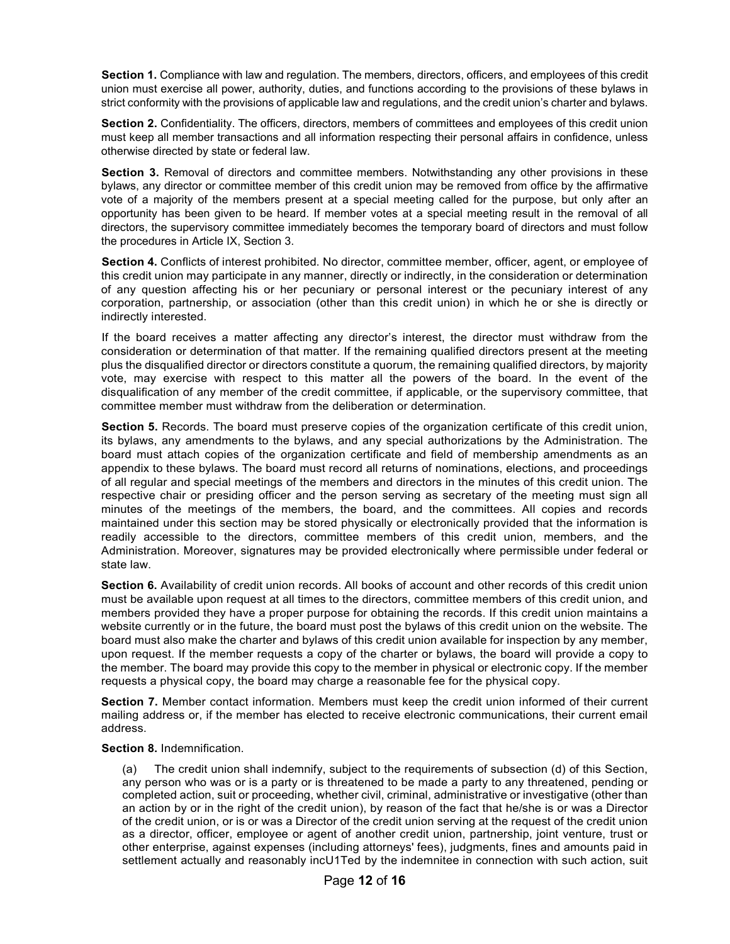**Section 1.** Compliance with law and regulation. The members, directors, officers, and employees of this credit union must exercise all power, authority, duties, and functions according to the provisions of these bylaws in strict conformity with the provisions of applicable law and regulations, and the credit union's charter and bylaws.

**Section 2.** Confidentiality. The officers, directors, members of committees and employees of this credit union must keep all member transactions and all information respecting their personal affairs in confidence, unless otherwise directed by state or federal law.

**Section 3.** Removal of directors and committee members. Notwithstanding any other provisions in these bylaws, any director or committee member of this credit union may be removed from office by the affirmative vote of a majority of the members present at a special meeting called for the purpose, but only after an opportunity has been given to be heard. If member votes at a special meeting result in the removal of all directors, the supervisory committee immediately becomes the temporary board of directors and must follow the procedures in Article IX, Section 3.

**Section 4.** Conflicts of interest prohibited. No director, committee member, officer, agent, or employee of this credit union may participate in any manner, directly or indirectly, in the consideration or determination of any question affecting his or her pecuniary or personal interest or the pecuniary interest of any corporation, partnership, or association (other than this credit union) in which he or she is directly or indirectly interested.

If the board receives a matter affecting any director's interest, the director must withdraw from the consideration or determination of that matter. If the remaining qualified directors present at the meeting plus the disqualified director or directors constitute a quorum, the remaining qualified directors, by majority vote, may exercise with respect to this matter all the powers of the board. In the event of the disqualification of any member of the credit committee, if applicable, or the supervisory committee, that committee member must withdraw from the deliberation or determination.

**Section 5.** Records. The board must preserve copies of the organization certificate of this credit union, its bylaws, any amendments to the bylaws, and any special authorizations by the Administration. The board must attach copies of the organization certificate and field of membership amendments as an appendix to these bylaws. The board must record all returns of nominations, elections, and proceedings of all regular and special meetings of the members and directors in the minutes of this credit union. The respective chair or presiding officer and the person serving as secretary of the meeting must sign all minutes of the meetings of the members, the board, and the committees. All copies and records maintained under this section may be stored physically or electronically provided that the information is readily accessible to the directors, committee members of this credit union, members, and the Administration. Moreover, signatures may be provided electronically where permissible under federal or state law.

**Section 6.** Availability of credit union records. All books of account and other records of this credit union must be available upon request at all times to the directors, committee members of this credit union, and members provided they have a proper purpose for obtaining the records. If this credit union maintains a website currently or in the future, the board must post the bylaws of this credit union on the website. The board must also make the charter and bylaws of this credit union available for inspection by any member, upon request. If the member requests a copy of the charter or bylaws, the board will provide a copy to the member. The board may provide this copy to the member in physical or electronic copy. If the member requests a physical copy, the board may charge a reasonable fee for the physical copy.

**Section 7.** Member contact information. Members must keep the credit union informed of their current mailing address or, if the member has elected to receive electronic communications, their current email address.

#### **Section 8.** Indemnification.

(a) The credit union shall indemnify, subject to the requirements of subsection (d) of this Section, any person who was or is a party or is threatened to be made a party to any threatened, pending or completed action, suit or proceeding, whether civil, criminal, administrative or investigative (other than an action by or in the right of the credit union), by reason of the fact that he/she is or was a Director of the credit union, or is or was a Director of the credit union serving at the request of the credit union as a director, officer, employee or agent of another credit union, partnership, joint venture, trust or other enterprise, against expenses (including attorneys' fees), judgments, fines and amounts paid in settlement actually and reasonably incU1Ted by the indemnitee in connection with such action, suit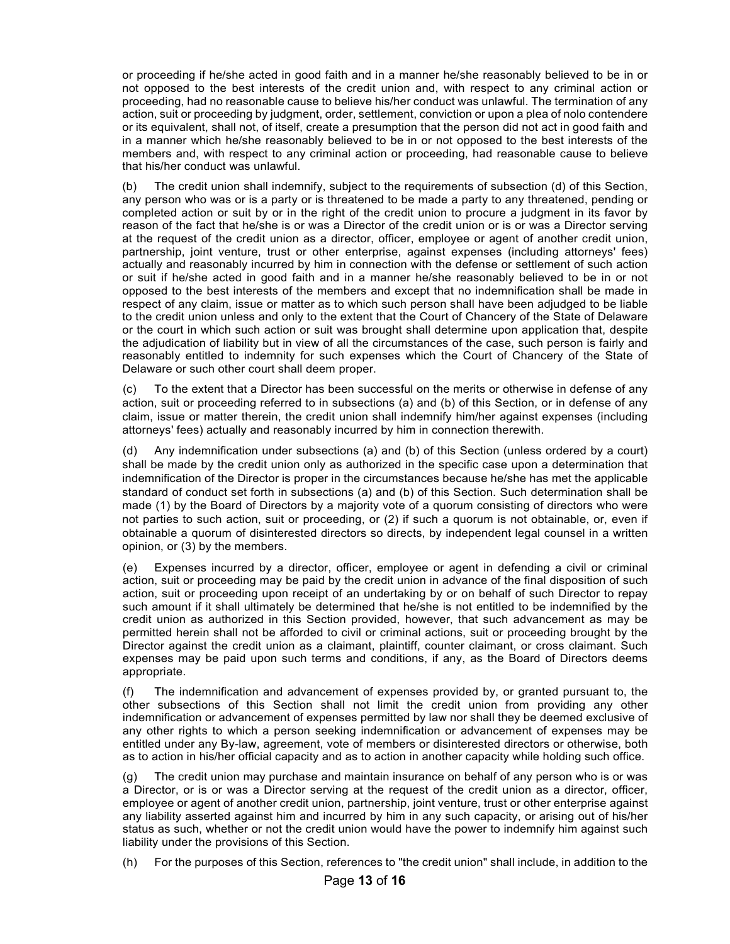or proceeding if he/she acted in good faith and in a manner he/she reasonably believed to be in or not opposed to the best interests of the credit union and, with respect to any criminal action or proceeding, had no reasonable cause to believe his/her conduct was unlawful. The termination of any action, suit or proceeding by judgment, order, settlement, conviction or upon a plea of nolo contendere or its equivalent, shall not, of itself, create a presumption that the person did not act in good faith and in a manner which he/she reasonably believed to be in or not opposed to the best interests of the members and, with respect to any criminal action or proceeding, had reasonable cause to believe that his/her conduct was unlawful.

(b) The credit union shall indemnify, subject to the requirements of subsection (d) of this Section, any person who was or is a party or is threatened to be made a party to any threatened, pending or completed action or suit by or in the right of the credit union to procure a judgment in its favor by reason of the fact that he/she is or was a Director of the credit union or is or was a Director serving at the request of the credit union as a director, officer, employee or agent of another credit union, partnership, joint venture, trust or other enterprise, against expenses (including attorneys' fees) actually and reasonably incurred by him in connection with the defense or settlement of such action or suit if he/she acted in good faith and in a manner he/she reasonably believed to be in or not opposed to the best interests of the members and except that no indemnification shall be made in respect of any claim, issue or matter as to which such person shall have been adjudged to be liable to the credit union unless and only to the extent that the Court of Chancery of the State of Delaware or the court in which such action or suit was brought shall determine upon application that, despite the adjudication of liability but in view of all the circumstances of the case, such person is fairly and reasonably entitled to indemnity for such expenses which the Court of Chancery of the State of Delaware or such other court shall deem proper.

To the extent that a Director has been successful on the merits or otherwise in defense of any action, suit or proceeding referred to in subsections (a) and (b) of this Section, or in defense of any claim, issue or matter therein, the credit union shall indemnify him/her against expenses (including attorneys' fees) actually and reasonably incurred by him in connection therewith.

(d) Any indemnification under subsections (a) and (b) of this Section (unless ordered by a court) shall be made by the credit union only as authorized in the specific case upon a determination that indemnification of the Director is proper in the circumstances because he/she has met the applicable standard of conduct set forth in subsections (a) and (b) of this Section. Such determination shall be made (1) by the Board of Directors by a majority vote of a quorum consisting of directors who were not parties to such action, suit or proceeding, or (2) if such a quorum is not obtainable, or, even if obtainable a quorum of disinterested directors so directs, by independent legal counsel in a written opinion, or (3) by the members.

(e) Expenses incurred by a director, officer, employee or agent in defending a civil or criminal action, suit or proceeding may be paid by the credit union in advance of the final disposition of such action, suit or proceeding upon receipt of an undertaking by or on behalf of such Director to repay such amount if it shall ultimately be determined that he/she is not entitled to be indemnified by the credit union as authorized in this Section provided, however, that such advancement as may be permitted herein shall not be afforded to civil or criminal actions, suit or proceeding brought by the Director against the credit union as a claimant, plaintiff, counter claimant, or cross claimant. Such expenses may be paid upon such terms and conditions, if any, as the Board of Directors deems appropriate.

(f) The indemnification and advancement of expenses provided by, or granted pursuant to, the other subsections of this Section shall not limit the credit union from providing any other indemnification or advancement of expenses permitted by law nor shall they be deemed exclusive of any other rights to which a person seeking indemnification or advancement of expenses may be entitled under any By-law, agreement, vote of members or disinterested directors or otherwise, both as to action in his/her official capacity and as to action in another capacity while holding such office.

(g) The credit union may purchase and maintain insurance on behalf of any person who is or was a Director, or is or was a Director serving at the request of the credit union as a director, officer, employee or agent of another credit union, partnership, joint venture, trust or other enterprise against any liability asserted against him and incurred by him in any such capacity, or arising out of his/her status as such, whether or not the credit union would have the power to indemnify him against such liability under the provisions of this Section.

(h) For the purposes of this Section, references to "the credit union" shall include, in addition to the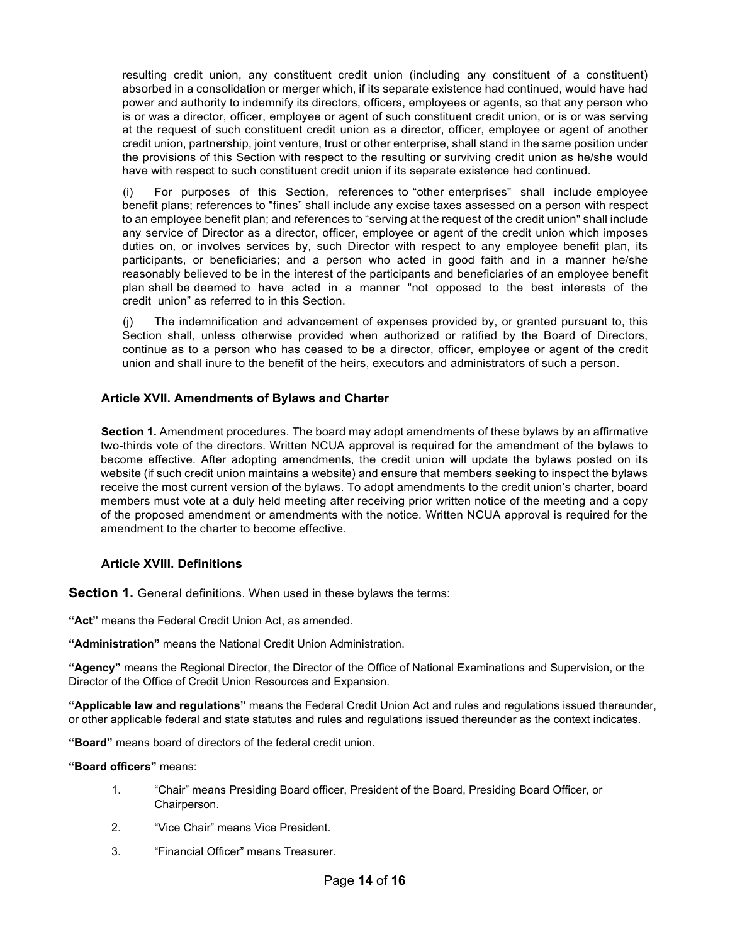resulting credit union, any constituent credit union (including any constituent of a constituent) absorbed in a consolidation or merger which, if its separate existence had continued, would have had power and authority to indemnify its directors, officers, employees or agents, so that any person who is or was a director, officer, employee or agent of such constituent credit union, or is or was serving at the request of such constituent credit union as a director, officer, employee or agent of another credit union, partnership, joint venture, trust or other enterprise, shall stand in the same position under the provisions of this Section with respect to the resulting or surviving credit union as he/she would have with respect to such constituent credit union if its separate existence had continued.

For purposes of this Section, references to "other enterprises" shall include employee benefit plans; references to "fines" shall include any excise taxes assessed on a person with respect to an employee benefit plan; and references to "serving at the request of the credit union" shall include any service of Director as a director, officer, employee or agent of the credit union which imposes duties on, or involves services by, such Director with respect to any employee benefit plan, its participants, or beneficiaries; and a person who acted in good faith and in a manner he/she reasonably believed to be in the interest of the participants and beneficiaries of an employee benefit plan shall be deemed to have acted in a manner "not opposed to the best interests of the credit union" as referred to in this Section.

(j) The indemnification and advancement of expenses provided by, or granted pursuant to, this Section shall, unless otherwise provided when authorized or ratified by the Board of Directors, continue as to a person who has ceased to be a director, officer, employee or agent of the credit union and shall inure to the benefit of the heirs, executors and administrators of such a person.

## **Article XVII. Amendments of Bylaws and Charter**

**Section 1.** Amendment procedures. The board may adopt amendments of these bylaws by an affirmative two-thirds vote of the directors. Written NCUA approval is required for the amendment of the bylaws to become effective. After adopting amendments, the credit union will update the bylaws posted on its website (if such credit union maintains a website) and ensure that members seeking to inspect the bylaws receive the most current version of the bylaws. To adopt amendments to the credit union's charter, board members must vote at a duly held meeting after receiving prior written notice of the meeting and a copy of the proposed amendment or amendments with the notice. Written NCUA approval is required for the amendment to the charter to become effective.

## **Article XVIII. Definitions**

**Section 1.** General definitions. When used in these bylaws the terms:

**"Act"** means the Federal Credit Union Act, as amended.

**"Administration"** means the National Credit Union Administration.

**"Agency"** means the Regional Director, the Director of the Office of National Examinations and Supervision, or the Director of the Office of Credit Union Resources and Expansion.

**"Applicable law and regulations"** means the Federal Credit Union Act and rules and regulations issued thereunder, or other applicable federal and state statutes and rules and regulations issued thereunder as the context indicates.

**"Board"** means board of directors of the federal credit union.

**"Board officers"** means:

- 1. "Chair" means Presiding Board officer, President of the Board, Presiding Board Officer, or Chairperson.
- 2. "Vice Chair" means Vice President.
- 3. "Financial Officer" means Treasurer.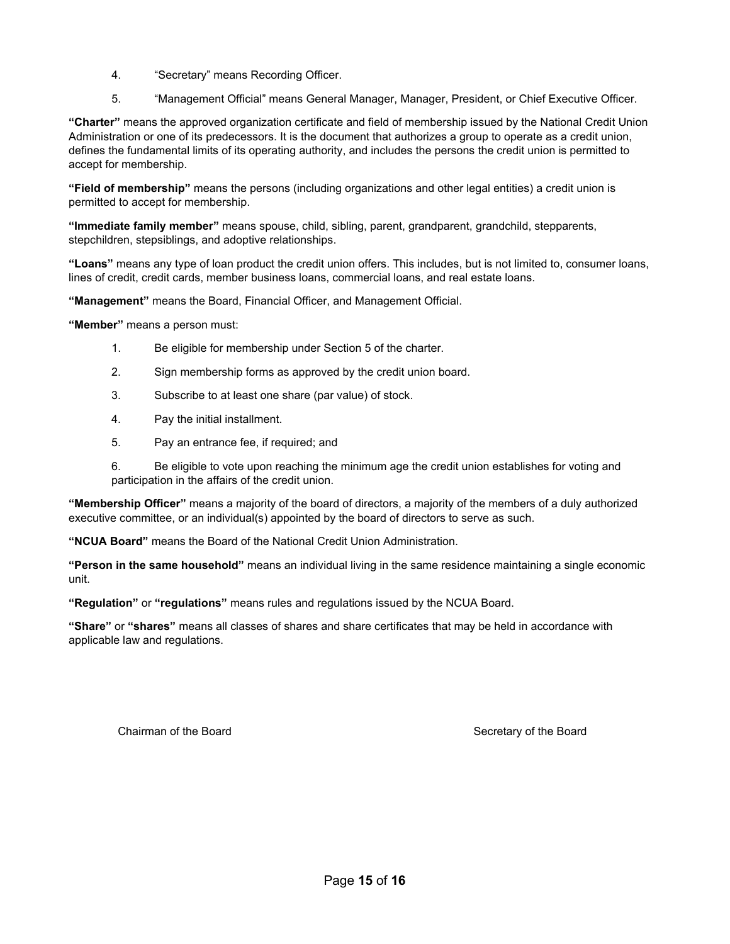- 4. "Secretary" means Recording Officer.
- 5. "Management Official" means General Manager, Manager, President, or Chief Executive Officer.

**"Charter"** means the approved organization certificate and field of membership issued by the National Credit Union Administration or one of its predecessors. It is the document that authorizes a group to operate as a credit union, defines the fundamental limits of its operating authority, and includes the persons the credit union is permitted to accept for membership.

**"Field of membership"** means the persons (including organizations and other legal entities) a credit union is permitted to accept for membership.

**"Immediate family member"** means spouse, child, sibling, parent, grandparent, grandchild, stepparents, stepchildren, stepsiblings, and adoptive relationships.

**"Loans"** means any type of loan product the credit union offers. This includes, but is not limited to, consumer loans, lines of credit, credit cards, member business loans, commercial loans, and real estate loans.

**"Management"** means the Board, Financial Officer, and Management Official.

**"Member"** means a person must:

- 1. Be eligible for membership under Section 5 of the charter.
- 2. Sign membership forms as approved by the credit union board.
- 3. Subscribe to at least one share (par value) of stock.
- 4. Pay the initial installment.
- 5. Pay an entrance fee, if required; and

6. Be eligible to vote upon reaching the minimum age the credit union establishes for voting and participation in the affairs of the credit union.

**"Membership Officer"** means a majority of the board of directors, a majority of the members of a duly authorized executive committee, or an individual(s) appointed by the board of directors to serve as such.

**"NCUA Board"** means the Board of the National Credit Union Administration.

**"Person in the same household"** means an individual living in the same residence maintaining a single economic unit.

**"Regulation"** or **"regulations"** means rules and regulations issued by the NCUA Board.

**"Share"** or **"shares"** means all classes of shares and share certificates that may be held in accordance with applicable law and regulations.

Chairman of the Board **Secretary of the Board** Secretary of the Board